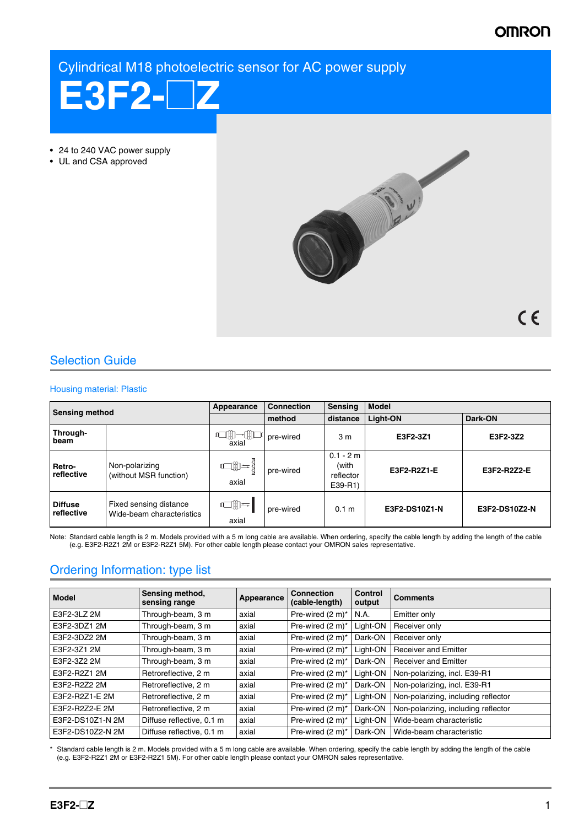# **OMRON**

Cylindrical M18 photoelectric sensor for AC power supply



• 24 to 240 VAC power supply

• UL and CSA approved



 $C \in$ 

# Selection Guide

### Housing material: Plastic

| <b>Sensing method</b>        |                                                     | Appearance                               | <b>Connection</b> | <b>Sensing</b>                               | <b>Model</b>  |               |
|------------------------------|-----------------------------------------------------|------------------------------------------|-------------------|----------------------------------------------|---------------|---------------|
|                              |                                                     |                                          | method            | distance                                     | Light-ON      | Dark-ON       |
| Through-<br>beam             |                                                     | <sup>0</sup> axial pre-wired             |                   | 3 <sub>m</sub>                               | E3F2-3Z1      | E3F2-3Z2      |
| Retro-<br>reflective         | Non-polarizing<br>(without MSR function)            | $\mathbb{C}(\mathbb{D})=\big\{$<br>axial | pre-wired         | $0.1 - 2 m$<br>(with<br>reflector<br>E39-R1) | E3F2-R2Z1-E   | E3F2-R2Z2-E   |
| <b>Diffuse</b><br>reflective | Fixed sensing distance<br>Wide-beam characteristics | $\Box \mathbb{D} =$<br>axial             | pre-wired         | 0.1 <sub>m</sub>                             | E3F2-DS10Z1-N | E3F2-DS10Z2-N |

Note: Standard cable length is 2 m. Models provided with a 5 m long cable are available. When ordering, specify the cable length by adding the length of the cable<br>(e.g. E3F2-R2Z1 2M or E3F2-R2Z1 5M). For other cable length

# Ordering Information: type list

| <b>Model</b>     | Sensing method,<br>sensing range | Appearance | <b>Connection</b><br>(cable-length) | <b>Control</b><br>output | <b>Comments</b>                     |
|------------------|----------------------------------|------------|-------------------------------------|--------------------------|-------------------------------------|
| E3F2-3LZ 2M      | Through-beam, 3 m                | axial      | Pre-wired (2 m)*                    | N.A.                     | Emitter only                        |
| E3F2-3DZ1 2M     | Through-beam, 3 m                | axial      | Pre-wired (2 m)*                    | Light-ON                 | Receiver only                       |
| E3F2-3DZ2 2M     | Through-beam, 3 m                | axial      | Pre-wired (2 m)*                    | Dark-ON                  | Receiver only                       |
| E3F2-3Z1 2M      | Through-beam, 3 m                | axial      | Pre-wired (2 m)*                    | Light-ON                 | <b>Receiver and Emitter</b>         |
| E3F2-3Z2 2M      | Through-beam, 3 m                | axial      | Pre-wired (2 m)*                    | Dark-ON                  | <b>Receiver and Emitter</b>         |
| E3F2-R2Z1 2M     | Retroreflective, 2 m             | axial      | Pre-wired (2 m)*                    | Light-ON                 | Non-polarizing, incl. E39-R1        |
| E3F2-R2Z2 2M     | Retroreflective, 2 m             | axial      | Pre-wired (2 m)*                    | Dark-ON                  | Non-polarizing, incl. E39-R1        |
| E3F2-R2Z1-E 2M   | Retroreflective, 2 m             | axial      | Pre-wired (2 m)*                    | Light-ON                 | Non-polarizing, including reflector |
| E3F2-R2Z2-E 2M   | Retroreflective, 2 m             | axial      | Pre-wired (2 m)*                    | Dark-ON                  | Non-polarizing, including reflector |
| E3F2-DS10Z1-N 2M | Diffuse reflective, 0.1 m        | axial      | Pre-wired (2 m)*                    | Light-ON                 | Wide-beam characteristic            |
| E3F2-DS10Z2-N 2M | Diffuse reflective, 0.1 m        | axial      | Pre-wired (2 m)*                    | Dark-ON                  | Wide-beam characteristic            |

Standard cable length is 2 m. Models provided with a 5 m long cable are available. When ordering, specify the cable length by adding the length of the cable (e.g. E3F2-R2Z1 2M or E3F2-R2Z1 5M). For other cable length please contact your OMRON sales representative.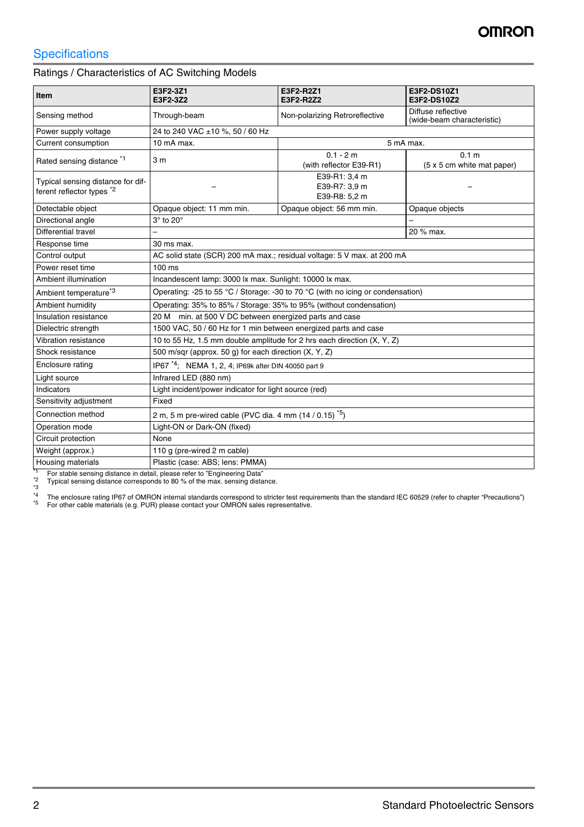# **Specifications**

Ratings / Characteristics of AC Switching Models

| Item                                                                      | E3F2-3Z1<br>E3F2-3Z2                                                            | E3F2-R2Z1<br>E3F2-R2Z2                          | E3F2-DS10Z1<br>E3F2-DS10Z2                       |  |  |  |  |
|---------------------------------------------------------------------------|---------------------------------------------------------------------------------|-------------------------------------------------|--------------------------------------------------|--|--|--|--|
| Sensing method                                                            | Through-beam                                                                    | Non-polarizing Retroreflective                  | Diffuse reflective<br>(wide-beam characteristic) |  |  |  |  |
| Power supply voltage                                                      | 24 to 240 VAC ±10 %, 50 / 60 Hz                                                 |                                                 |                                                  |  |  |  |  |
| Current consumption                                                       | 10 mA max.                                                                      |                                                 | 5 mA max.                                        |  |  |  |  |
|                                                                           |                                                                                 | $0.1 - 2 m$                                     | 0.1 <sub>m</sub>                                 |  |  |  |  |
| Rated sensing distance <sup>*1</sup>                                      | 3 <sub>m</sub>                                                                  | (with reflector E39-R1)                         | (5 x 5 cm white mat paper)                       |  |  |  |  |
| Typical sensing distance for dif-<br>ferent reflector types <sup>*2</sup> |                                                                                 | E39-R1: 3,4 m<br>E39-R7: 3,9 m<br>E39-R8: 5,2 m |                                                  |  |  |  |  |
| Detectable object                                                         | Opaque object: 11 mm min.                                                       | Opaque object: 56 mm min.                       | Opaque objects                                   |  |  |  |  |
| Directional angle                                                         | $3^\circ$ to $20^\circ$                                                         |                                                 |                                                  |  |  |  |  |
| Differential travel                                                       |                                                                                 |                                                 | 20 % max.                                        |  |  |  |  |
| Response time                                                             | 30 ms max.                                                                      |                                                 |                                                  |  |  |  |  |
| Control output                                                            | AC solid state (SCR) 200 mA max.; residual voltage: 5 V max. at 200 mA          |                                                 |                                                  |  |  |  |  |
| Power reset time                                                          | $100 \text{ ms}$                                                                |                                                 |                                                  |  |  |  |  |
| Ambient illumination                                                      | Incandescent lamp: 3000 lx max. Sunlight: 10000 lx max.                         |                                                 |                                                  |  |  |  |  |
| Ambient temperature <sup>*3</sup>                                         | Operating: -25 to 55 °C / Storage: -30 to 70 °C (with no icing or condensation) |                                                 |                                                  |  |  |  |  |
| Ambient humidity                                                          | Operating: 35% to 85% / Storage: 35% to 95% (without condensation)              |                                                 |                                                  |  |  |  |  |
| Insulation resistance                                                     | 20 M min. at 500 V DC between energized parts and case                          |                                                 |                                                  |  |  |  |  |
| Dielectric strength                                                       | 1500 VAC, 50 / 60 Hz for 1 min between energized parts and case                 |                                                 |                                                  |  |  |  |  |
| Vibration resistance                                                      | 10 to 55 Hz, 1.5 mm double amplitude for 2 hrs each direction (X, Y, Z)         |                                                 |                                                  |  |  |  |  |
| Shock resistance                                                          | 500 m/sqr (approx. 50 g) for each direction (X, Y, Z)                           |                                                 |                                                  |  |  |  |  |
| Enclosure rating                                                          | IP67 <sup>*4</sup> ; NEMA 1, 2, 4; IP69k after DIN 40050 part 9                 |                                                 |                                                  |  |  |  |  |
| Light source                                                              | Infrared LED (880 nm)                                                           |                                                 |                                                  |  |  |  |  |
| Indicators                                                                | Light incident/power indicator for light source (red)                           |                                                 |                                                  |  |  |  |  |
| Sensitivity adjustment                                                    | Fixed                                                                           |                                                 |                                                  |  |  |  |  |
| Connection method                                                         | 2 m, 5 m pre-wired cable (PVC dia. 4 mm $(14 / 0.15)^{5}$ )                     |                                                 |                                                  |  |  |  |  |
| Operation mode                                                            | Light-ON or Dark-ON (fixed)                                                     |                                                 |                                                  |  |  |  |  |
| Circuit protection                                                        | None                                                                            |                                                 |                                                  |  |  |  |  |
| Weight (approx.)                                                          | 110 g (pre-wired 2 m cable)                                                     |                                                 |                                                  |  |  |  |  |
| Housing materials<br>Plastic (case: ABS; lens: PMMA)                      |                                                                                 |                                                 |                                                  |  |  |  |  |

<sup>\*1</sup> For stable sensing distance in detail, please refer to "Engineering Data"<br><sup>\*2</sup> Typical sensing distance corresponds to 80 % of the max. sensing distance.

 $*3$ <br> $*4$ <br> $*5$ <sup>\*4</sup> The enclosure rating IP67 of OMRON internal standards correspond to stricter test requirements than the standard IEC 60529 (refer to chapter "Precautions")<br><sup>\*5</sup> For other cable materials (e.g. PUR) please contact your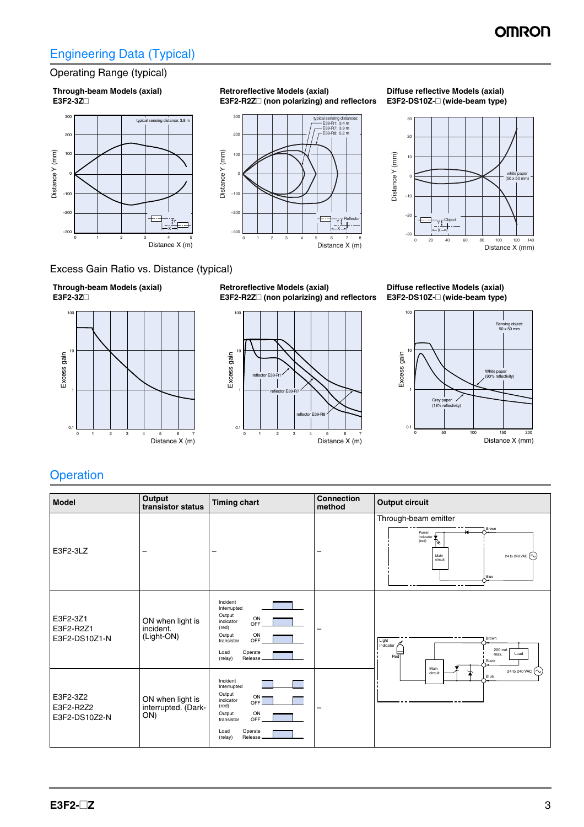# Engineering Data (Typical)

## Operating Range (typical)

#### **Through-beam Models (axial) E3F2-3Z**#



**Retroreflective Models (axial) E3F2-R2Z**# **(non polarizing) and reflectors**

#### **Diffuse reflective Models (axial) E3F2-DS10Z-□ (wide-beam type)**



## Excess Gain Ratio vs. Distance (typical)





**Retroreflective Models (axial) E3F2-R2Z** (non polarizing) and reflectors

Distance X (m) 7 8

X Y T<sub>n</sub><br>Y T<sub>n</sub>

typical sensing distances:<br>—— E39-R1: 3.4 m<br>—— E39-R7: 3.9 m<br>—— E39-R8: 5.2 m

0 123 45 6

0

 $-100$ –200 –300

Distance Y (mm)

Distance Y (mm)

100

<sub>200</sub> 300



**Diffuse reflective Models (axial) E3F2-DS10Z-**# **(wide-beam type)**



# **Operation**

| Model                                  | Output<br>transistor status                    | <b>Timing chart</b>                                                                                                                                    | <b>Connection</b><br>method | <b>Output circuit</b>                                                                                            |  |
|----------------------------------------|------------------------------------------------|--------------------------------------------------------------------------------------------------------------------------------------------------------|-----------------------------|------------------------------------------------------------------------------------------------------------------|--|
| E3F2-3LZ                               |                                                | -                                                                                                                                                      |                             | Through-beam emitter<br>Brown<br>Power<br>indicator<br>(red)<br>Main<br>24 to 240 VAC $(\sim$<br>circuit<br>Blue |  |
| E3F2-3Z1<br>E3F2-R2Z1<br>E3F2-DS10Z1-N | ON when light is<br>incident.<br>(Light-ON)    | Incident<br>Interrupted<br>Output<br>ON<br>indicator<br>OFF<br>(red)<br>Output<br>ON<br>OFF<br>transistor<br>Operate<br>Load<br>Release<br>(relay)     |                             | Brown<br>$Light$ indicator $\sim$<br>200 mA<br>$\overline{\phantom{aa}}$<br>Load<br>max.<br>Black<br>Main        |  |
| E3F2-3Z2<br>E3F2-R2Z2<br>E3F2-DS10Z2-N | ON when light is<br>interrupted. (Dark-<br>ON) | Incident<br>Interrupted<br>Output<br>$ON -$<br>indicator<br>OFF<br>(red)<br>ON<br>Output<br>OFF<br>transistor<br>Operate<br>Load<br>Release<br>(relay) |                             | 24 to 240 VAC $(\sim)$<br>circuit<br>Blue                                                                        |  |